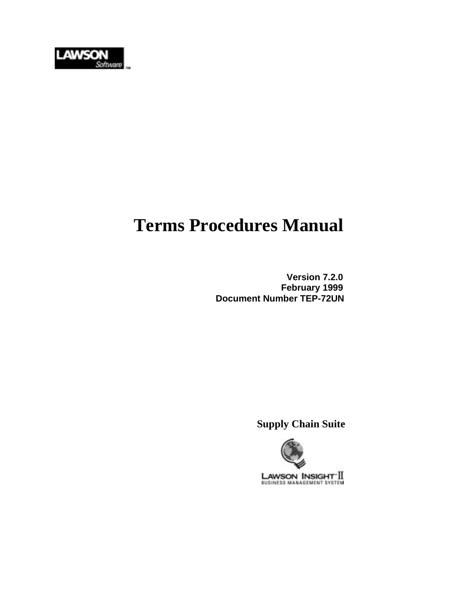

# **Terms Procedures Manual**

**Version 7.2.0 February 1999 Document Number TEP-72UN**

**Supply Chain Suite**

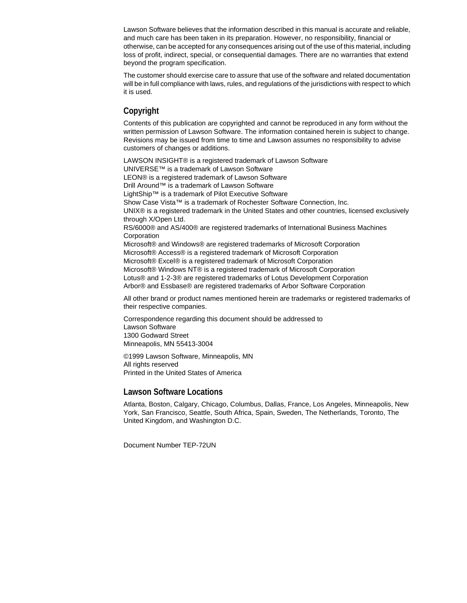Lawson Software believes that the information described in this manual is accurate and reliable, and much care has been taken in its preparation. However, no responsibility, financial or otherwise, can be accepted for any consequences arising out of the use of this material, including loss of profit, indirect, special, or consequential damages. There are no warranties that extend beyond the program specification.

The customer should exercise care to assure that use of the software and related documentation will be in full compliance with laws, rules, and regulations of the jurisdictions with respect to which it is used.

#### **Copyright**

Contents of this publication are copyrighted and cannot be reproduced in any form without the written permission of Lawson Software. The information contained herein is subject to change. Revisions may be issued from time to time and Lawson assumes no responsibility to advise customers of changes or additions.

LAWSON INSIGHT® is a registered trademark of Lawson Software UNIVERSE™ is a trademark of Lawson Software LEON® is a registered trademark of Lawson Software Drill Around™ is a trademark of Lawson Software LightShip™ is a trademark of Pilot Executive Software Show Case Vista™ is a trademark of Rochester Software Connection, Inc. UNIX® is a registered trademark in the United States and other countries, licensed exclusively through X/Open Ltd. RS/6000® and AS/400® are registered trademarks of International Business Machines Corporation Microsoft® and Windows® are registered trademarks of Microsoft Corporation Microsoft® Access® is a registered trademark of Microsoft Corporation Microsoft® Excel® is a registered trademark of Microsoft Corporation Microsoft® Windows NT® is a registered trademark of Microsoft Corporation Lotus® and 1-2-3® are registered trademarks of Lotus Development Corporation Arbor® and Essbase® are registered trademarks of Arbor Software Corporation All other brand or product names mentioned herein are trademarks or registered trademarks of

Correspondence regarding this document should be addressed to Lawson Software 1300 Godward Street

Minneapolis, MN 55413-3004

their respective companies.

©1999 Lawson Software, Minneapolis, MN All rights reserved Printed in the United States of America

#### **Lawson Software Locations**

Atlanta, Boston, Calgary, Chicago, Columbus, Dallas, France, Los Angeles, Minneapolis, New York, San Francisco, Seattle, South Africa, Spain, Sweden, The Netherlands, Toronto, The United Kingdom, and Washington D.C.

Document Number TEP-72UN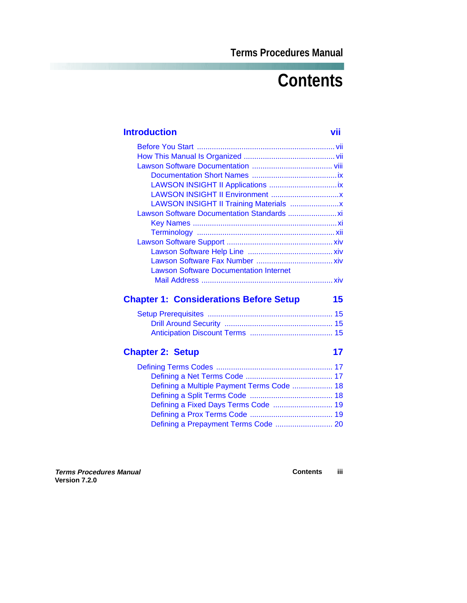# **Contents**

### **[Introduction vii](#page-6-0)**

| <b>Lawson Software Documentation Internet</b> |  |
|-----------------------------------------------|--|
|                                               |  |
|                                               |  |

## **[Chapter 1: Considerations Before Setup 15](#page-14-0)**

## **[Chapter 2: Setup 17](#page-16-0)**

| Defining a Multiple Payment Terms Code  18 |  |
|--------------------------------------------|--|
|                                            |  |
|                                            |  |
|                                            |  |
|                                            |  |
|                                            |  |

**Terms Procedures Manual Version 7.2.0**

 **Contents iii**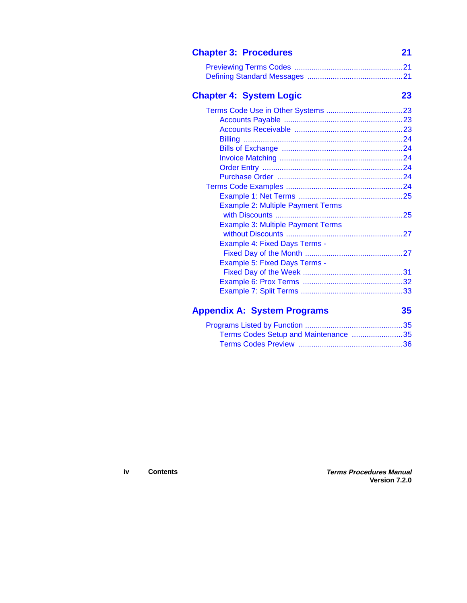| <b>Chapter 3: Procedures</b>                   | 21        |
|------------------------------------------------|-----------|
|                                                |           |
|                                                |           |
| <b>Chapter 4: System Logic</b>                 | 23        |
|                                                |           |
|                                                |           |
|                                                |           |
|                                                |           |
|                                                |           |
|                                                |           |
|                                                |           |
|                                                |           |
|                                                |           |
|                                                |           |
| <b>Example 2: Multiple Payment Terms</b>       |           |
|                                                |           |
| <b>Example 3: Multiple Payment Terms</b>       |           |
|                                                |           |
| <b>Example 4: Fixed Days Terms -</b>           |           |
|                                                |           |
| <b>Example 5: Fixed Days Terms -</b>           |           |
|                                                |           |
|                                                |           |
|                                                |           |
| $\mathbf{P}$ and $\mathbf{A}$ and $\mathbf{A}$ | <b>AP</b> |

### **[Appendix A: System Programs 35](#page-34-0)**

| Terms Codes Setup and Maintenance 35 |  |
|--------------------------------------|--|
|                                      |  |

**iv Contents Terms Procedures Manual Version 7.2.0**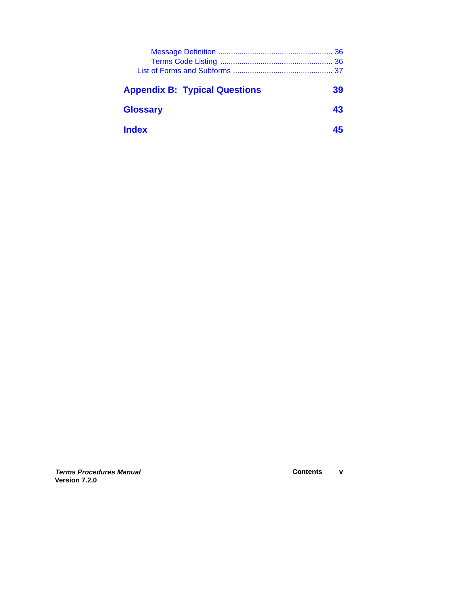| <b>Appendix B: Typical Questions</b> | 39 |
|--------------------------------------|----|
| <b>Glossary</b>                      | 43 |
| Index                                |    |

**Terms Procedures Manual Version 7.2.0**

 **Contents v**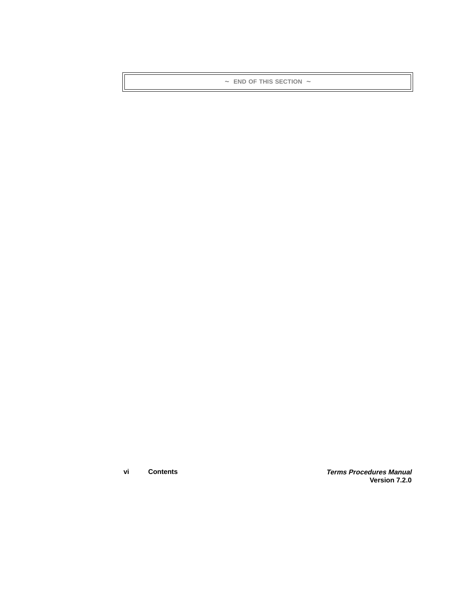**~ END OF THIS SECTION ~**

**vi Contents Terms Procedures Manual Version 7.2.0**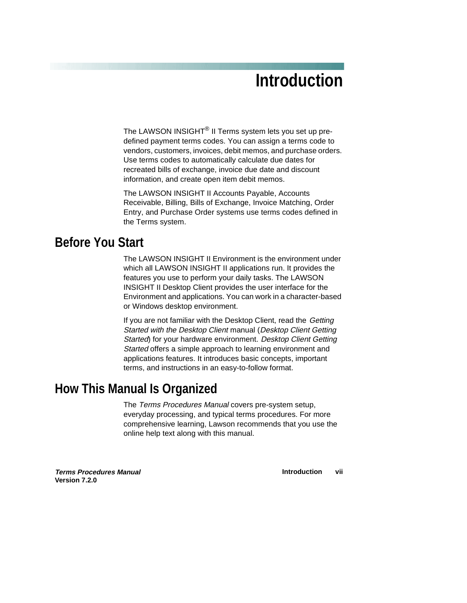# **Introduction**

<span id="page-6-0"></span>The LAWSON INSIGHT<sup>®</sup> II Terms system lets you set up predefined payment terms codes. You can assign a terms code to vendors, customers, invoices, debit memos, and purchase orders. Use terms codes to automatically calculate due dates for recreated bills of exchange, invoice due date and discount information, and create open item debit memos.

The LAWSON INSIGHT II Accounts Payable, Accounts Receivable, Billing, Bills of Exchange, Invoice Matching, Order Entry, and Purchase Order systems use terms codes defined in the Terms system.

# **Before You Start**

The LAWSON INSIGHT II Environment is the environment under which all LAWSON INSIGHT II applications run. It provides the features you use to perform your daily tasks. The LAWSON INSIGHT II Desktop Client provides the user interface for the Environment and applications. You can work in a character-based or Windows desktop environment.

If you are not familiar with the Desktop Client, read the Getting Started with the Desktop Client manual (Desktop Client Getting Started) for your hardware environment. Desktop Client Getting Started offers a simple approach to learning environment and applications features. It introduces basic concepts, important terms, and instructions in an easy-to-follow format.

# **How This Manual Is Organized**

The Terms Procedures Manual covers pre-system setup, everyday processing, and typical terms procedures. For more comprehensive learning, Lawson recommends that you use the online help text along with this manual.

**Terms Procedures Manual Version 7.2.0**

 **Introduction vii**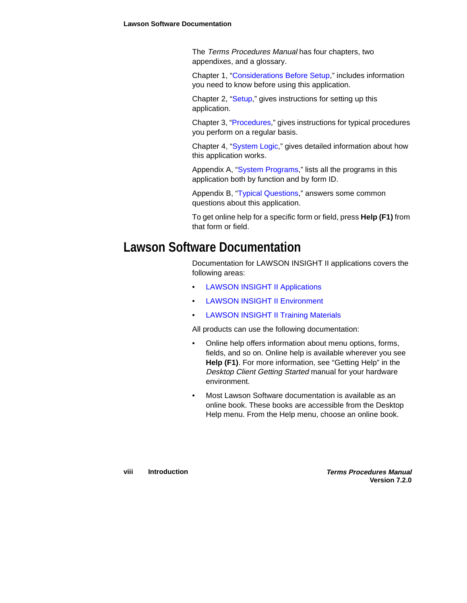<span id="page-7-0"></span>The Terms Procedures Manual has four chapters, two appendixes, and a glossary.

Chapter 1, "[Considerations Before Setup](#page-14-0)," includes information you need to know before using this application.

Chapter 2, "[Setup,](#page-16-0)" gives instructions for setting up this application.

Chapter 3, ["Procedures](#page-20-0)," gives instructions for typical procedures you perform on a regular basis.

Chapter 4, "[System Logic](#page-22-0)," gives detailed information about how this application works.

Appendix A, "[System Programs](#page-34-0)," lists all the programs in this application both by function and by form ID.

Appendix B, "[Typical Questions](#page-38-0)," answers some common questions about this application.

To get online help for a specific form or field, press **Help (F1)** from that form or field.

# **Lawson Software Documentation**

Documentation for LAWSON INSIGHT II applications covers the following areas:

- [LAWSON INSIGHT II Applications](#page-8-0)
- [LAWSON INSIGHT II Environment](#page-9-0)
- [LAWSON INSIGHT II Training Materials](#page-9-0)

All products can use the following documentation:

- Online help offers information about menu options, forms, fields, and so on. Online help is available wherever you see **Help (F1)**. For more information, see "Getting Help" in the Desktop Client Getting Started manual for your hardware environment.
- Most Lawson Software documentation is available as an online book. These books are accessible from the Desktop Help menu. From the Help menu, choose an online book.

**viii Introduction Terms Procedures Manual Version 7.2.0**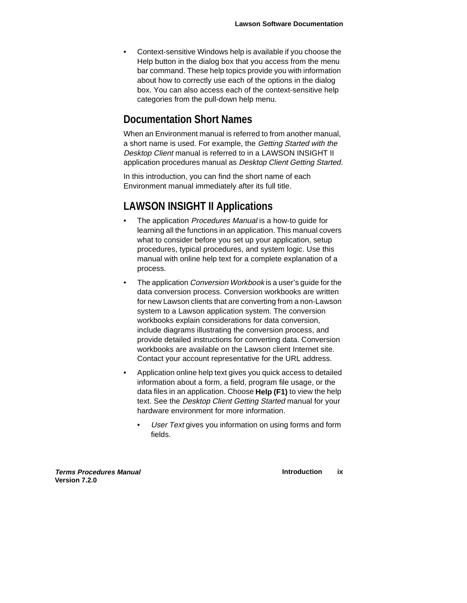<span id="page-8-0"></span>• Context-sensitive Windows help is available if you choose the Help button in the dialog box that you access from the menu bar command. These help topics provide you with information about how to correctly use each of the options in the dialog box. You can also access each of the context-sensitive help categories from the pull-down help menu.

### **Documentation Short Names**

When an Environment manual is referred to from another manual, a short name is used. For example, the Getting Started with the Desktop Client manual is referred to in a LAWSON INSIGHT II application procedures manual as Desktop Client Getting Started.

In this introduction, you can find the short name of each Environment manual immediately after its full title.

## **LAWSON INSIGHT II Applications**

- The application *Procedures Manual* is a how-to quide for learning all the functions in an application. This manual covers what to consider before you set up your application, setup procedures, typical procedures, and system logic. Use this manual with online help text for a complete explanation of a process.
- The application *Conversion Workbook* is a user's quide for the data conversion process. Conversion workbooks are written for new Lawson clients that are converting from a non-Lawson system to a Lawson application system. The conversion workbooks explain considerations for data conversion, include diagrams illustrating the conversion process, and provide detailed instructions for converting data. Conversion workbooks are available on the Lawson client Internet site. Contact your account representative for the URL address.
- Application online help text gives you quick access to detailed information about a form, a field, program file usage, or the data files in an application. Choose **Help (F1)** to view the help text. See the Desktop Client Getting Started manual for your hardware environment for more information.
	- User Text gives you information on using forms and form fields.

**Terms Procedures Manual Version 7.2.0**

 **Introduction ix**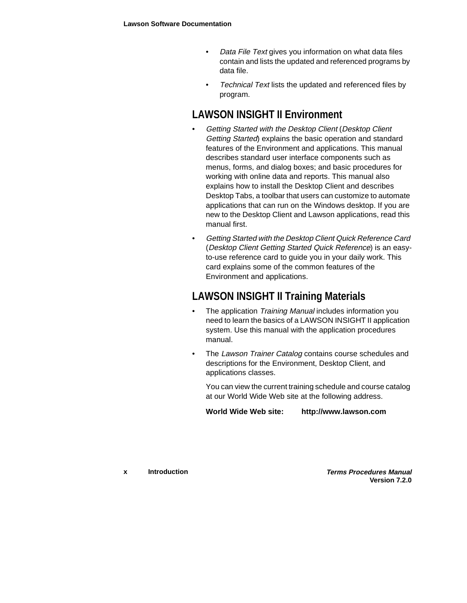- <span id="page-9-0"></span>• Data File Text gives you information on what data files contain and lists the updated and referenced programs by data file.
- Technical Text lists the updated and referenced files by program.

# **LAWSON INSIGHT II Environment**

- Getting Started with the Desktop Client (Desktop Client Getting Started) explains the basic operation and standard features of the Environment and applications. This manual describes standard user interface components such as menus, forms, and dialog boxes; and basic procedures for working with online data and reports. This manual also explains how to install the Desktop Client and describes Desktop Tabs, a toolbar that users can customize to automate applications that can run on the Windows desktop. If you are new to the Desktop Client and Lawson applications, read this manual first.
- Getting Started with the Desktop Client Quick Reference Card (Desktop Client Getting Started Quick Reference) is an easyto-use reference card to guide you in your daily work. This card explains some of the common features of the Environment and applications.

# **LAWSON INSIGHT II Training Materials**

- The application *Training Manual* includes information you need to learn the basics of a LAWSON INSIGHT II application system. Use this manual with the application procedures manual.
- The Lawson Trainer Catalog contains course schedules and descriptions for the Environment, Desktop Client, and applications classes.

You can view the current training schedule and course catalog at our World Wide Web site at the following address.

**World Wide Web site: http://www.lawson.com**

**x** Introduction **Terms** Procedures Manual **Version 7.2.0**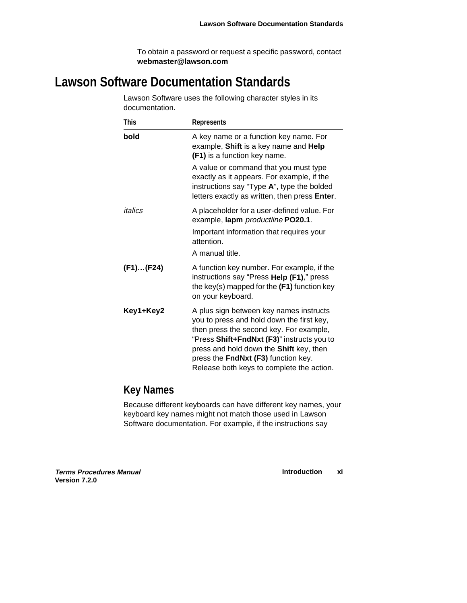To obtain a password or request a specific password, contact **webmaster@lawson.com**

# <span id="page-10-0"></span>**Lawson Software Documentation Standards**

Lawson Software uses the following character styles in its documentation.

| This           | <b>Represents</b>                                                                                                                                                                                                                                                                                                   |
|----------------|---------------------------------------------------------------------------------------------------------------------------------------------------------------------------------------------------------------------------------------------------------------------------------------------------------------------|
| bold           | A key name or a function key name. For<br>example, Shift is a key name and Help<br>(F1) is a function key name.                                                                                                                                                                                                     |
|                | A value or command that you must type<br>exactly as it appears. For example, if the<br>instructions say "Type A", type the bolded<br>letters exactly as written, then press Enter.                                                                                                                                  |
| <i>italics</i> | A placeholder for a user-defined value. For<br>example, lapm productline PO20.1.<br>Important information that requires your<br>attention.                                                                                                                                                                          |
|                | A manual title.                                                                                                                                                                                                                                                                                                     |
| (F1)(F24)      | A function key number. For example, if the<br>instructions say "Press Help (F1)," press<br>the key(s) mapped for the $(F1)$ function key<br>on your keyboard.                                                                                                                                                       |
| Key1+Key2      | A plus sign between key names instructs<br>you to press and hold down the first key,<br>then press the second key. For example,<br>"Press Shift+FndNxt (F3)" instructs you to<br>press and hold down the <b>Shift</b> key, then<br>press the FndNxt (F3) function key.<br>Release both keys to complete the action. |

## **Key Names**

Because different keyboards can have different key names, your keyboard key names might not match those used in Lawson Software documentation. For example, if the instructions say

**Terms Procedures Manual Version 7.2.0**

 **Introduction xi**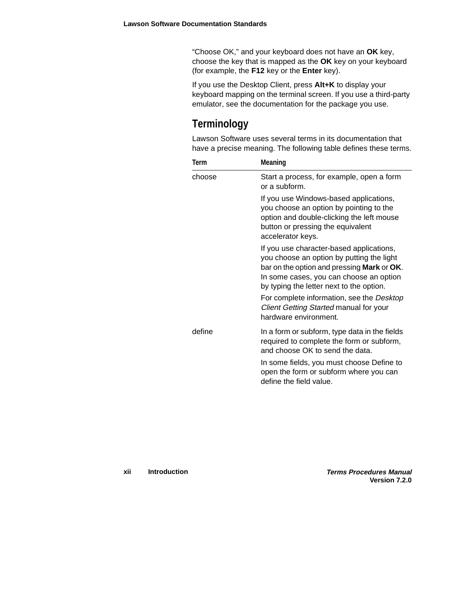<span id="page-11-0"></span>"Choose OK," and your keyboard does not have an **OK** key, choose the key that is mapped as the **OK** key on your keyboard (for example, the **F12** key or the **Enter** key).

If you use the Desktop Client, press **Alt+K** to display your keyboard mapping on the terminal screen. If you use a third-party emulator, see the documentation for the package you use.

# **Terminology**

Lawson Software uses several terms in its documentation that have a precise meaning. The following table defines these terms.

| Term   | Meaning                                                                                                                                                                                                                           |
|--------|-----------------------------------------------------------------------------------------------------------------------------------------------------------------------------------------------------------------------------------|
| choose | Start a process, for example, open a form<br>or a subform.                                                                                                                                                                        |
|        | If you use Windows-based applications,<br>you choose an option by pointing to the<br>option and double-clicking the left mouse<br>button or pressing the equivalent<br>accelerator keys.                                          |
|        | If you use character-based applications,<br>you choose an option by putting the light<br>bar on the option and pressing <b>Mark</b> or OK.<br>In some cases, you can choose an option<br>by typing the letter next to the option. |
|        | For complete information, see the Desktop<br>Client Getting Started manual for your<br>hardware environment.                                                                                                                      |
| define | In a form or subform, type data in the fields<br>required to complete the form or subform,<br>and choose OK to send the data.                                                                                                     |
|        | In some fields, you must choose Define to<br>open the form or subform where you can<br>define the field value.                                                                                                                    |

**xii Introduction Terms Procedures Manual Version 7.2.0**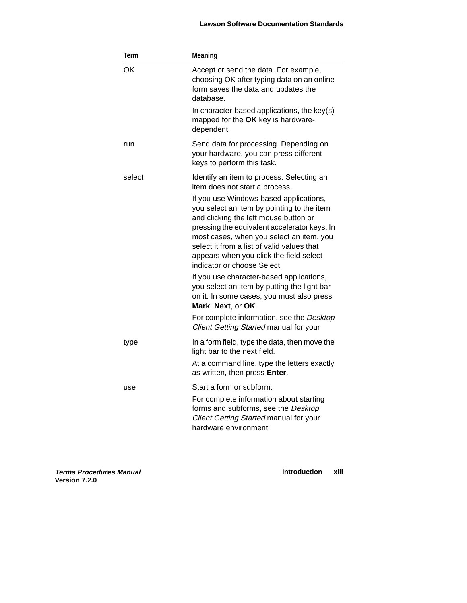#### **Lawson Software Documentation Standards**

| Term   | Meaning                                                                                                                                                                                                                                                                                                                                           |
|--------|---------------------------------------------------------------------------------------------------------------------------------------------------------------------------------------------------------------------------------------------------------------------------------------------------------------------------------------------------|
| ΟK     | Accept or send the data. For example,<br>choosing OK after typing data on an online<br>form saves the data and updates the<br>database.                                                                                                                                                                                                           |
|        | In character-based applications, the key(s)<br>mapped for the OK key is hardware-<br>dependent.                                                                                                                                                                                                                                                   |
| run    | Send data for processing. Depending on<br>your hardware, you can press different<br>keys to perform this task.                                                                                                                                                                                                                                    |
| select | Identify an item to process. Selecting an<br>item does not start a process.                                                                                                                                                                                                                                                                       |
|        | If you use Windows-based applications,<br>you select an item by pointing to the item<br>and clicking the left mouse button or<br>pressing the equivalent accelerator keys. In<br>most cases, when you select an item, you<br>select it from a list of valid values that<br>appears when you click the field select<br>indicator or choose Select. |
|        | If you use character-based applications,<br>you select an item by putting the light bar<br>on it. In some cases, you must also press<br>Mark, Next, or OK.                                                                                                                                                                                        |
|        | For complete information, see the Desktop<br>Client Getting Started manual for your                                                                                                                                                                                                                                                               |
| type   | In a form field, type the data, then move the<br>light bar to the next field.                                                                                                                                                                                                                                                                     |
|        | At a command line, type the letters exactly<br>as written, then press Enter.                                                                                                                                                                                                                                                                      |
| use    | Start a form or subform.<br>For complete information about starting<br>forms and subforms, see the Desktop<br>Client Getting Started manual for your<br>hardware environment.                                                                                                                                                                     |

**Terms Procedures Manual Version 7.2.0**

 **Introduction xiii**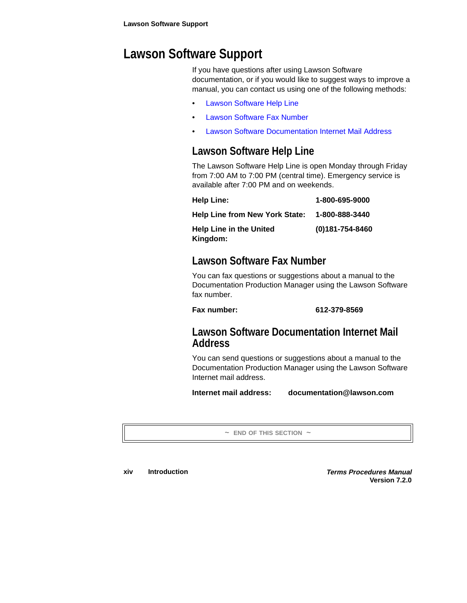# <span id="page-13-0"></span>**Lawson Software Support**

If you have questions after using Lawson Software documentation, or if you would like to suggest ways to improve a manual, you can contact us using one of the following methods:

- Lawson Software Help Line
- **Lawson Software Fax Number**
- Lawson Software Documentation Internet Mail Address

### **Lawson Software Help Line**

The Lawson Software Help Line is open Monday through Friday from 7:00 AM to 7:00 PM (central time). Emergency service is available after 7:00 PM and on weekends.

| Help Line:                                 | 1-800-695-9000        |
|--------------------------------------------|-----------------------|
| <b>Help Line from New York State:</b>      | 1-800-888-3440        |
| <b>Help Line in the United</b><br>Kingdom: | $(0)181 - 754 - 8460$ |

### **Lawson Software Fax Number**

You can fax questions or suggestions about a manual to the Documentation Production Manager using the Lawson Software fax number.

**Fax number: 612-379-8569**

### **Lawson Software Documentation Internet Mail Address**

You can send questions or suggestions about a manual to the Documentation Production Manager using the Lawson Software Internet mail address.

**Internet mail address: documentation@lawson.com**

**~ END OF THIS SECTION ~**

**xiv Introduction Terms Procedures Manual Version 7.2.0**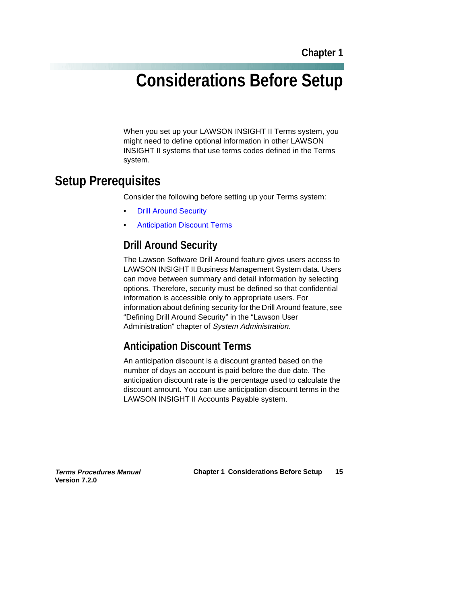# <span id="page-14-0"></span>**Considerations Before Setup**

When you set up your LAWSON INSIGHT II Terms system, you might need to define optional information in other LAWSON INSIGHT II systems that use terms codes defined in the Terms system.

# **Setup Prerequisites**

Consider the following before setting up your Terms system:

- **Drill Around Security**
- **Anticipation Discount Terms**

## **Drill Around Security**

The Lawson Software Drill Around feature gives users access to LAWSON INSIGHT II Business Management System data. Users can move between summary and detail information by selecting options. Therefore, security must be defined so that confidential information is accessible only to appropriate users. For information about defining security for the Drill Around feature, see "Defining Drill Around Security" in the "Lawson User Administration" chapter of System Administration.

# **Anticipation Discount Terms**

An anticipation discount is a discount granted based on the number of days an account is paid before the due date. The anticipation discount rate is the percentage used to calculate the discount amount. You can use anticipation discount terms in the LAWSON INSIGHT II Accounts Payable system.

**Terms Procedures Manual Version 7.2.0**

**Chapter 1 Considerations Before Setup 15**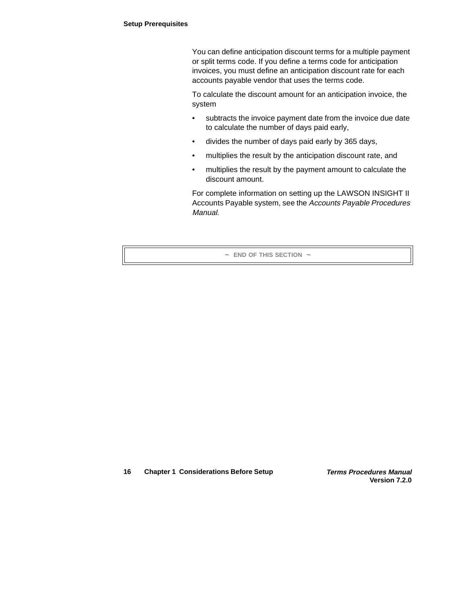#### **Setup Prerequisites**

You can define anticipation discount terms for a multiple payment or split terms code. If you define a terms code for anticipation invoices, you must define an anticipation discount rate for each accounts payable vendor that uses the terms code.

To calculate the discount amount for an anticipation invoice, the system

- subtracts the invoice payment date from the invoice due date to calculate the number of days paid early,
- divides the number of days paid early by 365 days,
- multiplies the result by the anticipation discount rate, and
- multiplies the result by the payment amount to calculate the discount amount.

For complete information on setting up the LAWSON INSIGHT II Accounts Payable system, see the Accounts Payable Procedures Manual.

**~ END OF THIS SECTION ~**

**16 Chapter 1 Considerations Before Setup Terms Procedures Manual**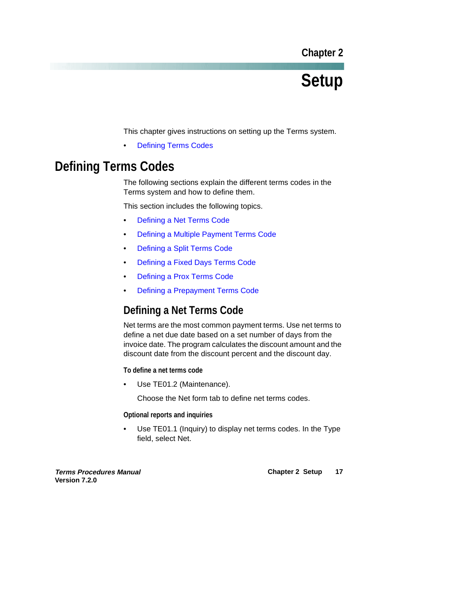# **Setup**

This chapter gives instructions on setting up the Terms system.

• Defining Terms Codes

# <span id="page-16-0"></span>**Defining Terms Codes**

The following sections explain the different terms codes in the Terms system and how to define them.

This section includes the following topics.

- Defining a Net Terms Code
- [Defining a Multiple Payment Terms Code](#page-17-0)
- [Defining a Split Terms Code](#page-17-0)
- [Defining a Fixed Days Terms Code](#page-18-0)
- [Defining a Prox Terms Code](#page-18-0)
- [Defining a Prepayment Terms Code](#page-19-0)

## **Defining a Net Terms Code**

Net terms are the most common payment terms. Use net terms to define a net due date based on a set number of days from the invoice date. The program calculates the discount amount and the discount date from the discount percent and the discount day.

#### **To define a net terms code**

Use TE01.2 (Maintenance).

Choose the Net form tab to define net terms codes.

#### **Optional reports and inquiries**

Use TE01.1 (Inquiry) to display net terms codes. In the Type field, select Net.

**Terms Procedures Manual Version 7.2.0**

**Chapter 2 Setup 17**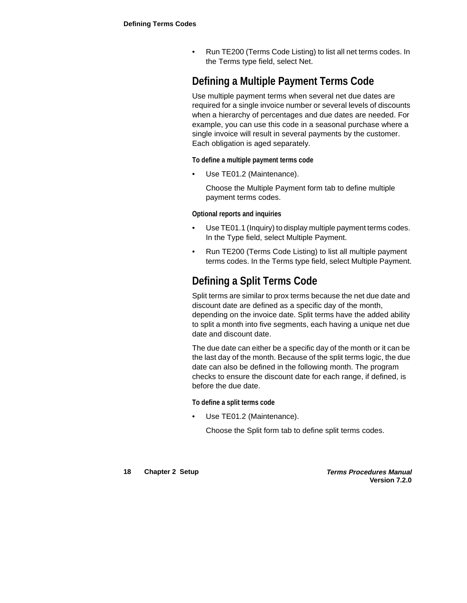<span id="page-17-0"></span>• Run TE200 (Terms Code Listing) to list all net terms codes. In the Terms type field, select Net.

# **Defining a Multiple Payment Terms Code**

Use multiple payment terms when several net due dates are required for a single invoice number or several levels of discounts when a hierarchy of percentages and due dates are needed. For example, you can use this code in a seasonal purchase where a single invoice will result in several payments by the customer. Each obligation is aged separately.

**To define a multiple payment terms code**

Use TE01.2 (Maintenance).

Choose the Multiple Payment form tab to define multiple payment terms codes.

#### **Optional reports and inquiries**

- Use TE01.1 (Inquiry) to display multiple payment terms codes. In the Type field, select Multiple Payment.
- Run TE200 (Terms Code Listing) to list all multiple payment terms codes. In the Terms type field, select Multiple Payment.

# **Defining a Split Terms Code**

Split terms are similar to prox terms because the net due date and discount date are defined as a specific day of the month, depending on the invoice date. Split terms have the added ability to split a month into five segments, each having a unique net due date and discount date.

The due date can either be a specific day of the month or it can be the last day of the month. Because of the split terms logic, the due date can also be defined in the following month. The program checks to ensure the discount date for each range, if defined, is before the due date.

**To define a split terms code**

Use TE01.2 (Maintenance).

Choose the Split form tab to define split terms codes.

**18 Chapter 2 Setup Terms Procedures Manual Version 7.2.0**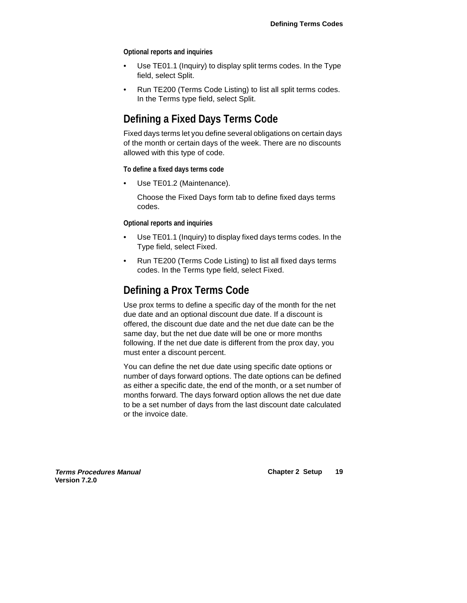#### <span id="page-18-0"></span>**Optional reports and inquiries**

- Use TE01.1 (Inquiry) to display split terms codes. In the Type field, select Split.
- Run TE200 (Terms Code Listing) to list all split terms codes. In the Terms type field, select Split.

## **Defining a Fixed Days Terms Code**

Fixed days terms let you define several obligations on certain days of the month or certain days of the week. There are no discounts allowed with this type of code.

#### **To define a fixed days terms code**

Use TE01.2 (Maintenance).

Choose the Fixed Days form tab to define fixed days terms codes.

#### **Optional reports and inquiries**

- Use TE01.1 (Inquiry) to display fixed days terms codes. In the Type field, select Fixed.
- Run TE200 (Terms Code Listing) to list all fixed days terms codes. In the Terms type field, select Fixed.

### **Defining a Prox Terms Code**

Use prox terms to define a specific day of the month for the net due date and an optional discount due date. If a discount is offered, the discount due date and the net due date can be the same day, but the net due date will be one or more months following. If the net due date is different from the prox day, you must enter a discount percent.

You can define the net due date using specific date options or number of days forward options. The date options can be defined as either a specific date, the end of the month, or a set number of months forward. The days forward option allows the net due date to be a set number of days from the last discount date calculated or the invoice date.

**Terms Procedures Manual Version 7.2.0**

**Chapter 2 Setup 19**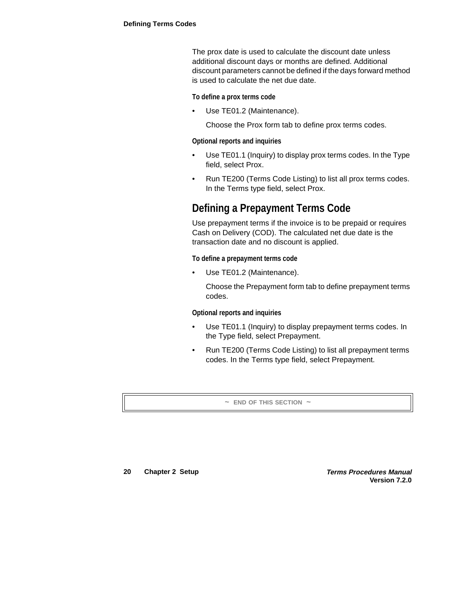#### <span id="page-19-0"></span>**Defining Terms Codes**

The prox date is used to calculate the discount date unless additional discount days or months are defined. Additional discount parameters cannot be defined if the days forward method is used to calculate the net due date.

#### **To define a prox terms code**

Use TE01.2 (Maintenance).

Choose the Prox form tab to define prox terms codes.

#### **Optional reports and inquiries**

- Use TE01.1 (Inquiry) to display prox terms codes. In the Type field, select Prox.
- Run TE200 (Terms Code Listing) to list all prox terms codes. In the Terms type field, select Prox.

## **Defining a Prepayment Terms Code**

Use prepayment terms if the invoice is to be prepaid or requires Cash on Delivery (COD). The calculated net due date is the transaction date and no discount is applied.

#### **To define a prepayment terms code**

Use TE01.2 (Maintenance).

Choose the Prepayment form tab to define prepayment terms codes.

#### **Optional reports and inquiries**

- Use TE01.1 (Inquiry) to display prepayment terms codes. In the Type field, select Prepayment.
- Run TE200 (Terms Code Listing) to list all prepayment terms codes. In the Terms type field, select Prepayment.

**~ END OF THIS SECTION ~**

**20 Chapter 2 Setup Terms Procedures Manual Version 7.2.0**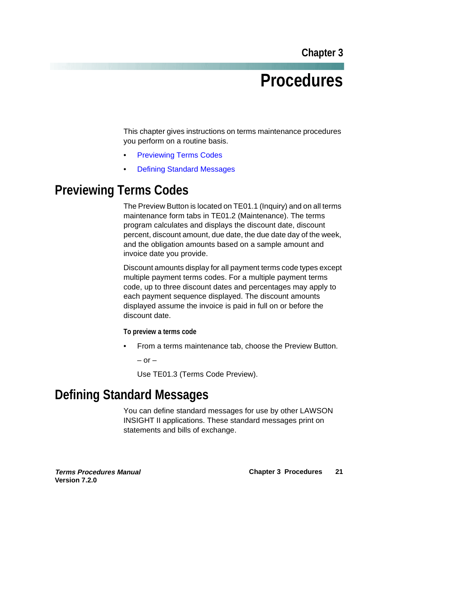**Chapter 3**

# **Procedures**

<span id="page-20-0"></span>This chapter gives instructions on terms maintenance procedures you perform on a routine basis.

- **Previewing Terms Codes**
- **Defining Standard Messages**

# **Previewing Terms Codes**

The Preview Button is located on TE01.1 (Inquiry) and on all terms maintenance form tabs in TE01.2 (Maintenance). The terms program calculates and displays the discount date, discount percent, discount amount, due date, the due date day of the week, and the obligation amounts based on a sample amount and invoice date you provide.

Discount amounts display for all payment terms code types except multiple payment terms codes. For a multiple payment terms code, up to three discount dates and percentages may apply to each payment sequence displayed. The discount amounts displayed assume the invoice is paid in full on or before the discount date.

#### **To preview a terms code**

• From a terms maintenance tab, choose the Preview Button.

 $-$  or  $-$ 

Use TE01.3 (Terms Code Preview).

# **Defining Standard Messages**

You can define standard messages for use by other LAWSON INSIGHT II applications. These standard messages print on statements and bills of exchange.

**Terms Procedures Manual Version 7.2.0**

**Chapter 3 Procedures 21**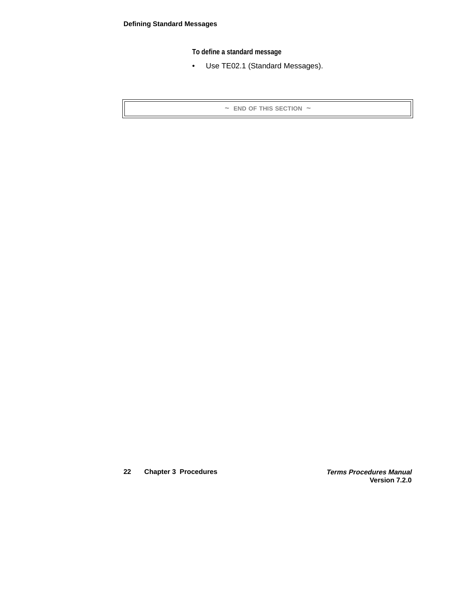**To define a standard message**

• Use TE02.1 (Standard Messages).

**~ END OF THIS SECTION ~**

**22 Chapter 3 Procedures Terms Procedures Manual Version 7.2.0**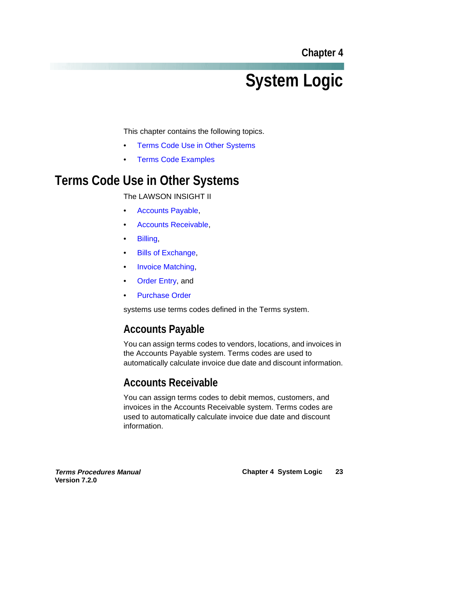**Chapter 4**

# **System Logic**

<span id="page-22-0"></span>This chapter contains the following topics.

- Terms Code Use in Other Systems
- [Terms Code Examples](#page-23-0)

# **Terms Code Use in Other Systems**

The LAWSON INSIGHT II

- Accounts Payable,
- Accounts Receivable,
- [Billing](#page-23-0),
- [Bills of Exchange](#page-23-0),
- [Invoice Matching](#page-23-0),
- [Order Entry](#page-23-0), and
- [Purchase Order](#page-23-0)

systems use terms codes defined in the Terms system.

## **Accounts Payable**

You can assign terms codes to vendors, locations, and invoices in the Accounts Payable system. Terms codes are used to automatically calculate invoice due date and discount information.

# **Accounts Receivable**

You can assign terms codes to debit memos, customers, and invoices in the Accounts Receivable system. Terms codes are used to automatically calculate invoice due date and discount information.

**Terms Procedures Manual Version 7.2.0**

**Chapter 4 System Logic 23**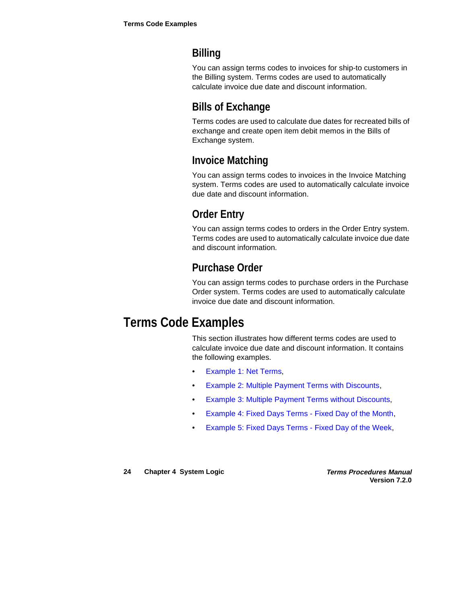# <span id="page-23-0"></span>**Billing**

You can assign terms codes to invoices for ship-to customers in the Billing system. Terms codes are used to automatically calculate invoice due date and discount information.

## **Bills of Exchange**

Terms codes are used to calculate due dates for recreated bills of exchange and create open item debit memos in the Bills of Exchange system.

## **Invoice Matching**

You can assign terms codes to invoices in the Invoice Matching system. Terms codes are used to automatically calculate invoice due date and discount information.

# **Order Entry**

You can assign terms codes to orders in the Order Entry system. Terms codes are used to automatically calculate invoice due date and discount information.

# **Purchase Order**

You can assign terms codes to purchase orders in the Purchase Order system. Terms codes are used to automatically calculate invoice due date and discount information.

# **Terms Code Examples**

This section illustrates how different terms codes are used to calculate invoice due date and discount information. It contains the following examples.

- [Example 1: Net Terms,](#page-24-0)
- [Example 2: Multiple Payment Terms with Discounts](#page-24-0),
- [Example 3: Multiple Payment Terms without Discounts](#page-26-0),
- [Example 4: Fixed Days Terms Fixed Day of the Month](#page-26-0),
- [Example 5: Fixed Days Terms Fixed Day of the Week,](#page-30-0)

**24 Chapter 4 System Logic Terms Procedures Manual**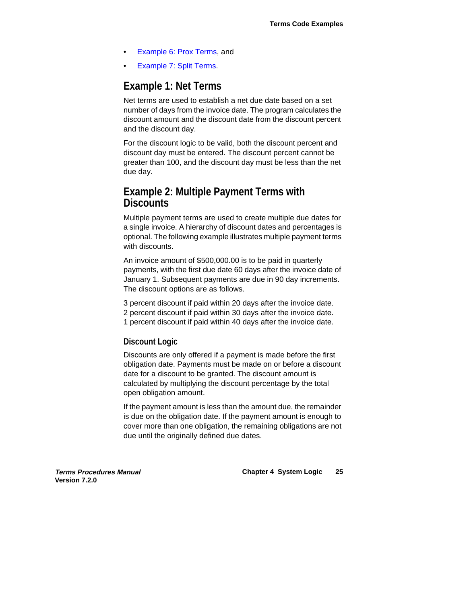- <span id="page-24-0"></span>• [Example 6: Prox Terms,](#page-31-0) and
- [Example 7: Split Terms](#page-32-0).

### **Example 1: Net Terms**

Net terms are used to establish a net due date based on a set number of days from the invoice date. The program calculates the discount amount and the discount date from the discount percent and the discount day.

For the discount logic to be valid, both the discount percent and discount day must be entered. The discount percent cannot be greater than 100, and the discount day must be less than the net due day.

### **Example 2: Multiple Payment Terms with Discounts**

Multiple payment terms are used to create multiple due dates for a single invoice. A hierarchy of discount dates and percentages is optional. The following example illustrates multiple payment terms with discounts.

An invoice amount of \$500,000.00 is to be paid in quarterly payments, with the first due date 60 days after the invoice date of January 1. Subsequent payments are due in 90 day increments. The discount options are as follows.

3 percent discount if paid within 20 days after the invoice date. 2 percent discount if paid within 30 days after the invoice date.

1 percent discount if paid within 40 days after the invoice date.

#### **Discount Logic**

Discounts are only offered if a payment is made before the first obligation date. Payments must be made on or before a discount date for a discount to be granted. The discount amount is calculated by multiplying the discount percentage by the total open obligation amount.

If the payment amount is less than the amount due, the remainder is due on the obligation date. If the payment amount is enough to cover more than one obligation, the remaining obligations are not due until the originally defined due dates.

**Terms Procedures Manual Version 7.2.0**

**Chapter 4 System Logic 25**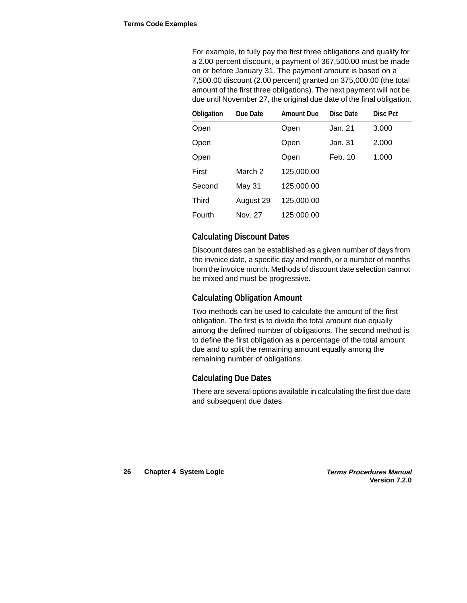For example, to fully pay the first three obligations and qualify for a 2.00 percent discount, a payment of 367,500.00 must be made on or before January 31. The payment amount is based on a 7,500.00 discount (2.00 percent) granted on 375,000.00 (the total amount of the first three obligations). The next payment will not be due until November 27, the original due date of the final obligation.

| Obligation | Due Date           | <b>Amount Due</b> | Disc Date | Disc Pct |
|------------|--------------------|-------------------|-----------|----------|
| Open       |                    | Open              | Jan. 21   | 3.000    |
| Open       |                    | Open              | Jan. 31   | 2.000    |
| Open       |                    | Open              | Feb. 10   | 1.000    |
| First      | March <sub>2</sub> | 125,000.00        |           |          |
| Second     | May 31             | 125,000.00        |           |          |
| Third      | August 29          | 125,000.00        |           |          |
| Fourth     | Nov. 27            | 125,000.00        |           |          |

### **Calculating Discount Dates**

Discount dates can be established as a given number of days from the invoice date, a specific day and month, or a number of months from the invoice month. Methods of discount date selection cannot be mixed and must be progressive.

#### **Calculating Obligation Amount**

Two methods can be used to calculate the amount of the first obligation. The first is to divide the total amount due equally among the defined number of obligations. The second method is to define the first obligation as a percentage of the total amount due and to split the remaining amount equally among the remaining number of obligations.

#### **Calculating Due Dates**

There are several options available in calculating the first due date and subsequent due dates.

**26 Chapter 4 System Logic Terms Procedures Manual**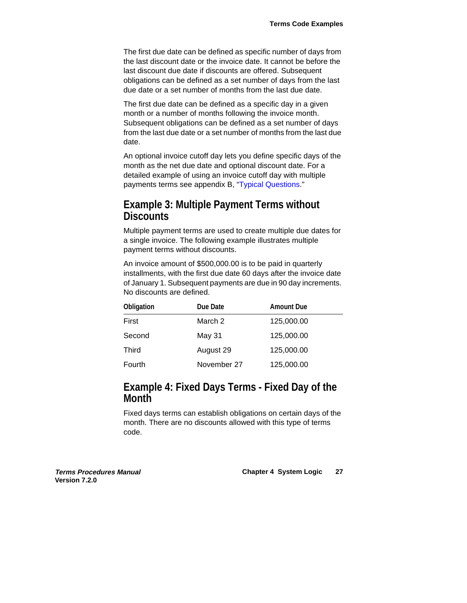<span id="page-26-0"></span>The first due date can be defined as specific number of days from the last discount date or the invoice date. It cannot be before the last discount due date if discounts are offered. Subsequent obligations can be defined as a set number of days from the last due date or a set number of months from the last due date.

The first due date can be defined as a specific day in a given month or a number of months following the invoice month. Subsequent obligations can be defined as a set number of days from the last due date or a set number of months from the last due date.

An optional invoice cutoff day lets you define specific days of the month as the net due date and optional discount date. For a detailed example of using an invoice cutoff day with multiple payments terms see appendix B, ["Typical Questions](#page-38-0)."

### **Example 3: Multiple Payment Terms without Discounts**

Multiple payment terms are used to create multiple due dates for a single invoice. The following example illustrates multiple payment terms without discounts.

An invoice amount of \$500,000.00 is to be paid in quarterly installments, with the first due date 60 days after the invoice date of January 1. Subsequent payments are due in 90 day increments. No discounts are defined.

| Obligation   | Due Date    | <b>Amount Due</b> |  |
|--------------|-------------|-------------------|--|
| First        | March 2     | 125,000.00        |  |
| Second       | May 31      | 125,000.00        |  |
| <b>Third</b> | August 29   | 125,000.00        |  |
| Fourth       | November 27 | 125,000.00        |  |

### **Example 4: Fixed Days Terms - Fixed Day of the Month**

Fixed days terms can establish obligations on certain days of the month. There are no discounts allowed with this type of terms code.

**Terms Procedures Manual Version 7.2.0**

**Chapter 4 System Logic 27**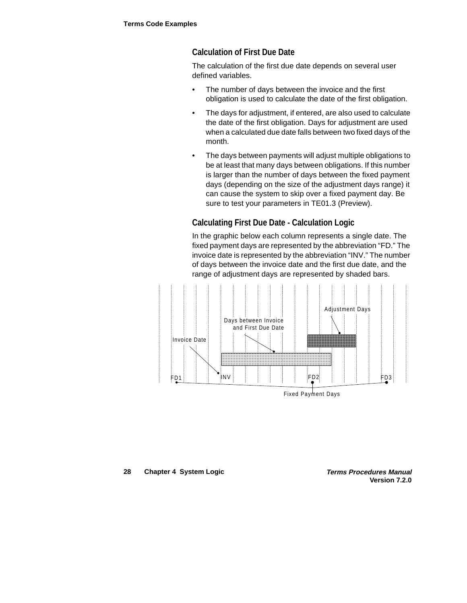#### **Calculation of First Due Date**

The calculation of the first due date depends on several user defined variables.

- The number of days between the invoice and the first obligation is used to calculate the date of the first obligation.
- The days for adjustment, if entered, are also used to calculate the date of the first obligation. Days for adjustment are used when a calculated due date falls between two fixed days of the month.
- The days between payments will adjust multiple obligations to be at least that many days between obligations. If this number is larger than the number of days between the fixed payment days (depending on the size of the adjustment days range) it can cause the system to skip over a fixed payment day. Be sure to test your parameters in TE01.3 (Preview).

#### **Calculating First Due Date - Calculation Logic**

In the graphic below each column represents a single date. The fixed payment days are represented by the abbreviation "FD." The invoice date is represented by the abbreviation "INV." The number of days between the invoice date and the first due date, and the range of adjustment days are represented by shaded bars.



Fixed Payment Days

**28 Chapter 4 System Logic Terms Procedures Manual**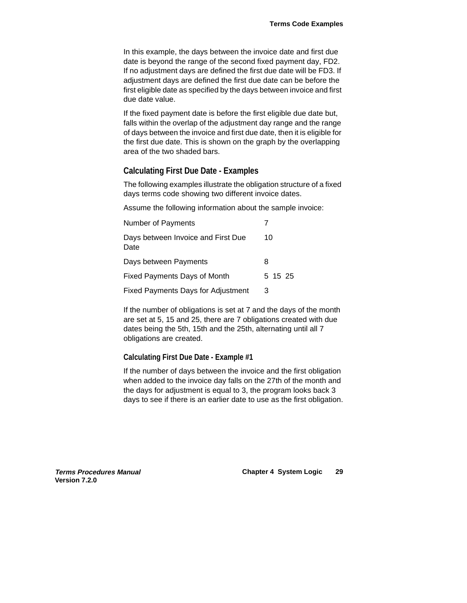In this example, the days between the invoice date and first due date is beyond the range of the second fixed payment day, FD2. If no adjustment days are defined the first due date will be FD3. If adjustment days are defined the first due date can be before the first eligible date as specified by the days between invoice and first due date value.

If the fixed payment date is before the first eligible due date but, falls within the overlap of the adjustment day range and the range of days between the invoice and first due date, then it is eligible for the first due date. This is shown on the graph by the overlapping area of the two shaded bars.

#### **Calculating First Due Date - Examples**

The following examples illustrate the obligation structure of a fixed days terms code showing two different invoice dates.

Assume the following information about the sample invoice:

| Number of Payments                         |         |
|--------------------------------------------|---------|
| Days between Invoice and First Due<br>Date | 10      |
| Days between Payments                      | 8       |
| <b>Fixed Payments Days of Month</b>        | 5 15 25 |
| <b>Fixed Payments Days for Adjustment</b>  | 3       |

If the number of obligations is set at 7 and the days of the month are set at 5, 15 and 25, there are 7 obligations created with due dates being the 5th, 15th and the 25th, alternating until all 7 obligations are created.

#### **Calculating First Due Date - Example #1**

If the number of days between the invoice and the first obligation when added to the invoice day falls on the 27th of the month and the days for adjustment is equal to 3, the program looks back 3 days to see if there is an earlier date to use as the first obligation.

**Terms Procedures Manual Version 7.2.0**

**Chapter 4 System Logic 29**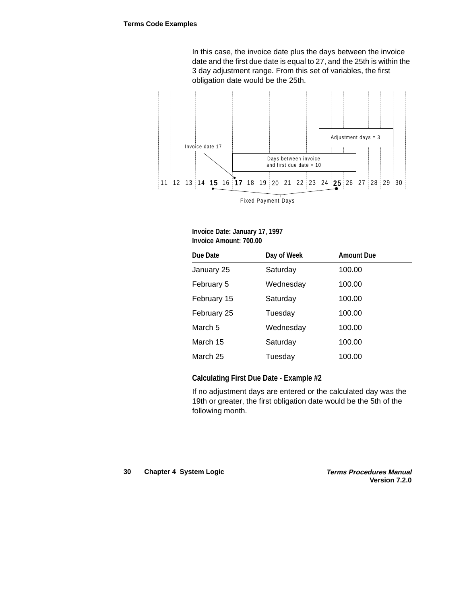In this case, the invoice date plus the days between the invoice date and the first due date is equal to 27, and the 25th is within the 3 day adjustment range. From this set of variables, the first obligation date would be the 25th.



**Invoice Date: January 17, 1997 Invoice Amount: 700.00**

| Due Date    | Day of Week | <b>Amount Due</b> |
|-------------|-------------|-------------------|
| January 25  | Saturday    | 100.00            |
| February 5  | Wednesday   | 100.00            |
| February 15 | Saturday    | 100.00            |
| February 25 | Tuesdav     | 100.00            |
| March 5     | Wednesday   | 100.00            |
| March 15    | Saturday    | 100.00            |
| March 25    | Tuesdav     | 100.00            |

#### **Calculating First Due Date - Example #2**

If no adjustment days are entered or the calculated day was the 19th or greater, the first obligation date would be the 5th of the following month.

**30 Chapter 4 System Logic Terms Procedures Manual**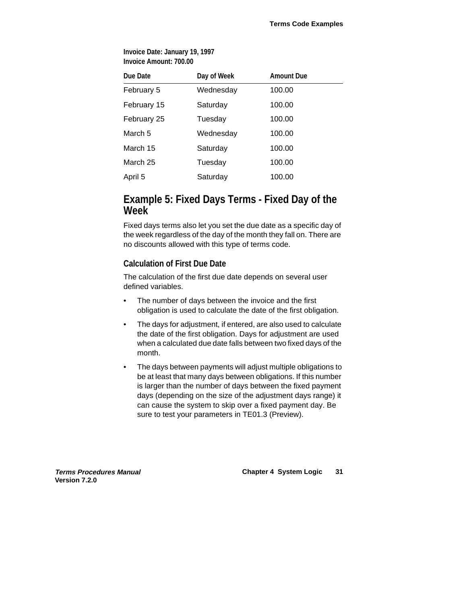| Due Date    | Day of Week | <b>Amount Due</b> |
|-------------|-------------|-------------------|
| February 5  | Wednesday   | 100.00            |
| February 15 | Saturday    | 100.00            |
| February 25 | Tuesday     | 100.00            |
| March 5     | Wednesdav   | 100.00            |
| March 15    | Saturday    | 100.00            |
| March 25    | Tuesday     | 100.00            |
| April 5     | Saturday    | 100.00            |

#### <span id="page-30-0"></span>**Invoice Date: January 19, 1997 Invoice Amount: 700.00**

### **Example 5: Fixed Days Terms - Fixed Day of the Week**

Fixed days terms also let you set the due date as a specific day of the week regardless of the day of the month they fall on. There are no discounts allowed with this type of terms code.

#### **Calculation of First Due Date**

The calculation of the first due date depends on several user defined variables.

- The number of days between the invoice and the first obligation is used to calculate the date of the first obligation.
- The days for adjustment, if entered, are also used to calculate the date of the first obligation. Days for adjustment are used when a calculated due date falls between two fixed days of the month.
- The days between payments will adjust multiple obligations to be at least that many days between obligations. If this number is larger than the number of days between the fixed payment days (depending on the size of the adjustment days range) it can cause the system to skip over a fixed payment day. Be sure to test your parameters in TE01.3 (Preview).

**Terms Procedures Manual Version 7.2.0**

**Chapter 4 System Logic 31**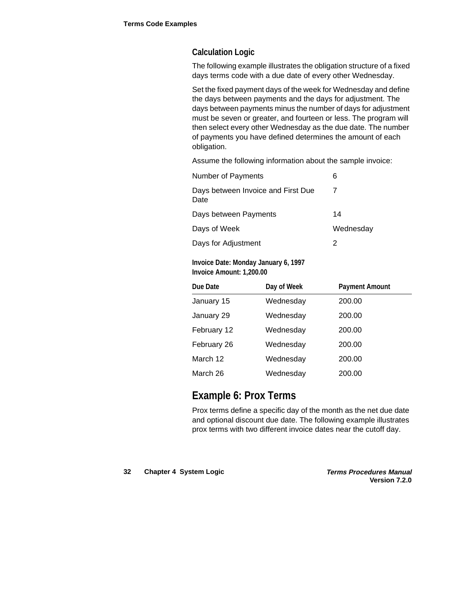### <span id="page-31-0"></span>**Calculation Logic**

The following example illustrates the obligation structure of a fixed days terms code with a due date of every other Wednesday.

Set the fixed payment days of the week for Wednesday and define the days between payments and the days for adjustment. The days between payments minus the number of days for adjustment must be seven or greater, and fourteen or less. The program will then select every other Wednesday as the due date. The number of payments you have defined determines the amount of each obligation.

Assume the following information about the sample invoice:

| Number of Payments                         | 6         |
|--------------------------------------------|-----------|
| Days between Invoice and First Due<br>Date | 7         |
| Days between Payments                      | 14        |
| Days of Week                               | Wednesday |
| Days for Adjustment                        | 2         |

#### **Invoice Date: Monday January 6, 1997 Invoice Amount: 1,200.00**

| Due Date    | Day of Week | <b>Payment Amount</b> |
|-------------|-------------|-----------------------|
| January 15  | Wednesdav   | 200.00                |
| January 29  | Wednesdav   | 200.00                |
| February 12 | Wednesdav   | 200.00                |
| February 26 | Wednesday   | 200.00                |
| March 12    | Wednesday   | 200.00                |
| March 26    | Wednesdav   | 200.00                |

## **Example 6: Prox Terms**

Prox terms define a specific day of the month as the net due date and optional discount due date. The following example illustrates prox terms with two different invoice dates near the cutoff day.

**32 Chapter 4 System Logic Terms Procedures Manual**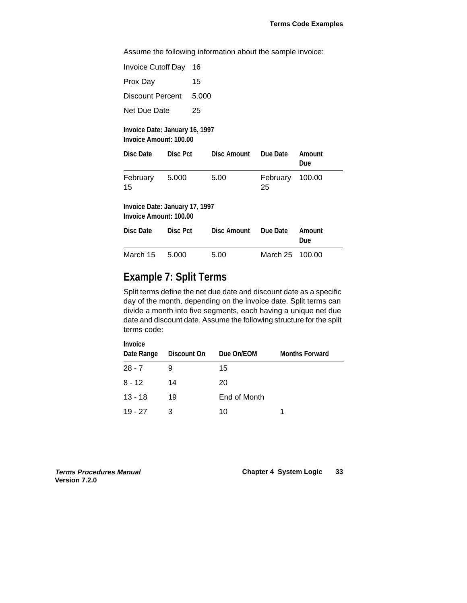<span id="page-32-0"></span>Assume the following information about the sample invoice:

| Invoice Cutoff Day 16                                           |          |       |             |                 |               |
|-----------------------------------------------------------------|----------|-------|-------------|-----------------|---------------|
| Prox Day                                                        |          | 15    |             |                 |               |
| Discount Percent                                                |          | 5.000 |             |                 |               |
| Net Due Date                                                    |          | 25    |             |                 |               |
| Invoice Date: January 16, 1997<br><b>Invoice Amount: 100.00</b> |          |       |             |                 |               |
| Disc Date                                                       | Disc Pct |       | Disc Amount | Due Date        | Amount<br>Due |
| February<br>15                                                  | 5.000    |       | 5.00        | February<br>25  | 100.00        |
| Invoice Date: January 17, 1997<br><b>Invoice Amount: 100.00</b> |          |       |             |                 |               |
| Disc Date                                                       | Disc Pct |       | Disc Amount | Due Date        | Amount<br>Due |
| March 15                                                        | 5.000    |       | 5.00        | March 25 100.00 |               |

# **Example 7: Split Terms**

Split terms define the net due date and discount date as a specific day of the month, depending on the invoice date. Split terms can divide a month into five segments, each having a unique net due date and discount date. Assume the following structure for the split terms code:

| Invoice<br>Date Range | Discount On | Due On/EOM   | <b>Months Forward</b> |
|-----------------------|-------------|--------------|-----------------------|
| $28 - 7$              | 9           | 15           |                       |
| $8 - 12$              | 14          | 20           |                       |
| $13 - 18$             | 19          | End of Month |                       |
| $19 - 27$             | З           | 10           |                       |

**Terms Procedures Manual Version 7.2.0**

**Chapter 4 System Logic 33**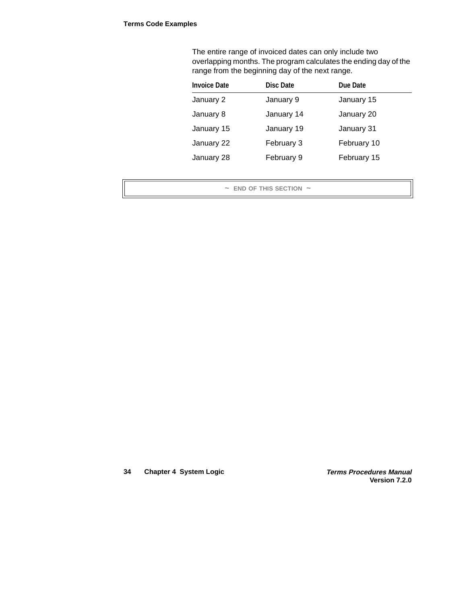#### **Terms Code Examples**

The entire range of invoiced dates can only include two overlapping months. The program calculates the ending day of the range from the beginning day of the next range.

| <b>Invoice Date</b> | Disc Date  | Due Date    |
|---------------------|------------|-------------|
| January 2           | January 9  | January 15  |
| January 8           | January 14 | January 20  |
| January 15          | January 19 | January 31  |
| January 22          | February 3 | February 10 |
| January 28          | February 9 | February 15 |

|--|

**34 Chapter 4 System Logic Terms Procedures Manual**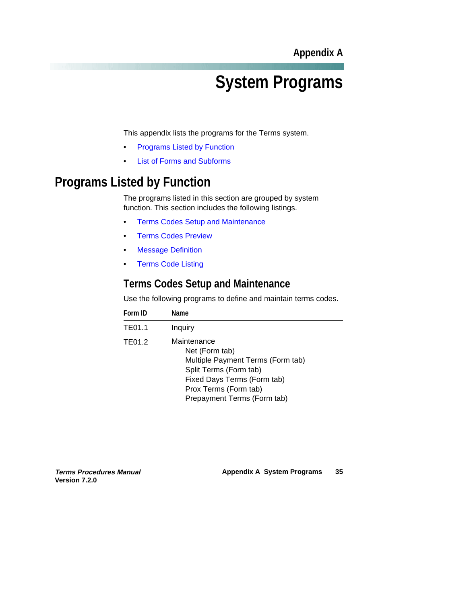# **System Programs**

<span id="page-34-0"></span>This appendix lists the programs for the Terms system.

- Programs Listed by Function
- [List of Forms and Subforms](#page-36-0)

# **Programs Listed by Function**

The programs listed in this section are grouped by system function. This section includes the following listings.

- Terms Codes Setup and Maintenance
- [Terms Codes Preview](#page-35-0)
- [Message Definition](#page-35-0)
- [Terms Code Listing](#page-35-0)

### **Terms Codes Setup and Maintenance**

Use the following programs to define and maintain terms codes.

| Form ID | Name                                                                                                                                                                                |
|---------|-------------------------------------------------------------------------------------------------------------------------------------------------------------------------------------|
| TE01.1  | Inquiry                                                                                                                                                                             |
| TE01.2  | Maintenance<br>Net (Form tab)<br>Multiple Payment Terms (Form tab)<br>Split Terms (Form tab)<br>Fixed Days Terms (Form tab)<br>Prox Terms (Form tab)<br>Prepayment Terms (Form tab) |

**Terms Procedures Manual Version 7.2.0**

**Appendix A System Programs 35**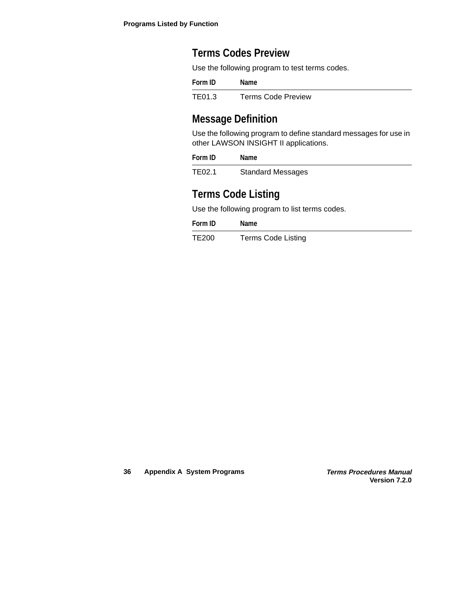# <span id="page-35-0"></span>**Terms Codes Preview**

Use the following program to test terms codes.

| Form ID | Name                      |
|---------|---------------------------|
| TE01.3  | <b>Terms Code Preview</b> |

# **Message Definition**

Use the following program to define standard messages for use in other LAWSON INSIGHT II applications.

| Form ID | Name                     |
|---------|--------------------------|
| TE02.1  | <b>Standard Messages</b> |

# **Terms Code Listing**

Use the following program to list terms codes.

| Form <b>ID</b> | Name                      |  |
|----------------|---------------------------|--|
| TE200          | <b>Terms Code Listing</b> |  |

**36 Appendix A System Programs Terms Procedures Manual**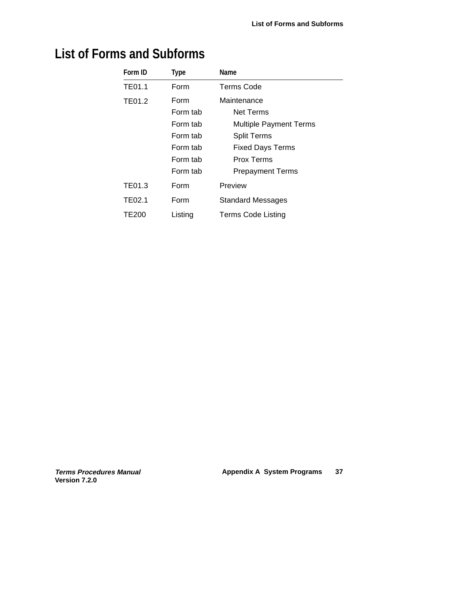# <span id="page-36-0"></span>**List of Forms and Subforms**

| Form ID       | <b>Type</b> | Name                    |  |
|---------------|-------------|-------------------------|--|
| <b>TE01.1</b> | Form        | Terms Code              |  |
| TE01.2        | Form        | Maintenance             |  |
|               | Form tab    | Net Terms               |  |
|               | Form tab    | Multiple Payment Terms  |  |
|               | Form tab    | <b>Split Terms</b>      |  |
|               | Form tab    | <b>Fixed Days Terms</b> |  |
|               | Form tab    | Prox Terms              |  |
|               | Form tab    | <b>Prepayment Terms</b> |  |
| TE01.3        | Form        | Preview                 |  |
| TE02.1        | Form        | Standard Messages       |  |
| TE200         | Listing     | Terms Code Listing      |  |

**Terms Procedures Manual Version 7.2.0**

**Appendix A System Programs 37**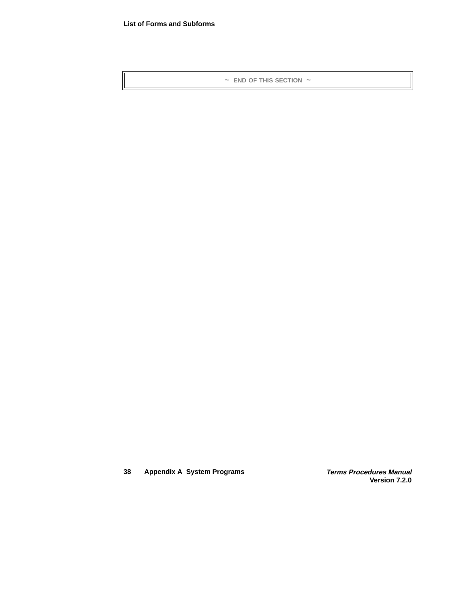**~ END OF THIS SECTION ~**

**38 Appendix A System Programs Terms Procedures Manual**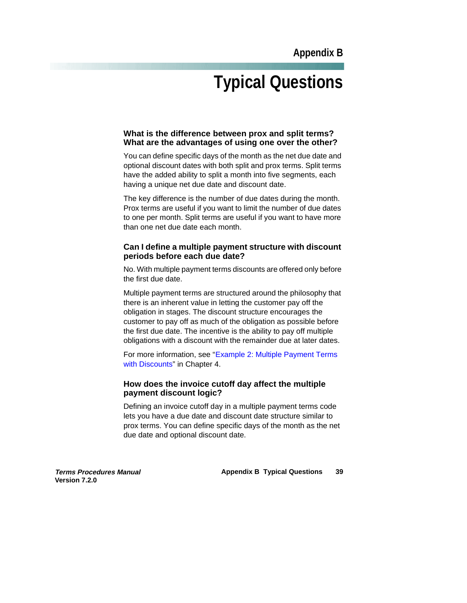# **Typical Questions**

#### <span id="page-38-0"></span>**What is the difference between prox and split terms? What are the advantages of using one over the other?**

You can define specific days of the month as the net due date and optional discount dates with both split and prox terms. Split terms have the added ability to split a month into five segments, each having a unique net due date and discount date.

The key difference is the number of due dates during the month. Prox terms are useful if you want to limit the number of due dates to one per month. Split terms are useful if you want to have more than one net due date each month.

#### **Can I define a multiple payment structure with discount periods before each due date?**

No. With multiple payment terms discounts are offered only before the first due date.

Multiple payment terms are structured around the philosophy that there is an inherent value in letting the customer pay off the obligation in stages. The discount structure encourages the customer to pay off as much of the obligation as possible before the first due date. The incentive is the ability to pay off multiple obligations with a discount with the remainder due at later dates.

For more information, see "[Example 2: Multiple Payment Terms](#page-24-0)  [with Discounts](#page-24-0)" in Chapter 4.

#### **How does the invoice cutoff day affect the multiple payment discount logic?**

Defining an invoice cutoff day in a multiple payment terms code lets you have a due date and discount date structure similar to prox terms. You can define specific days of the month as the net due date and optional discount date.

**Terms Procedures Manual Version 7.2.0**

**Appendix B Typical Questions 39**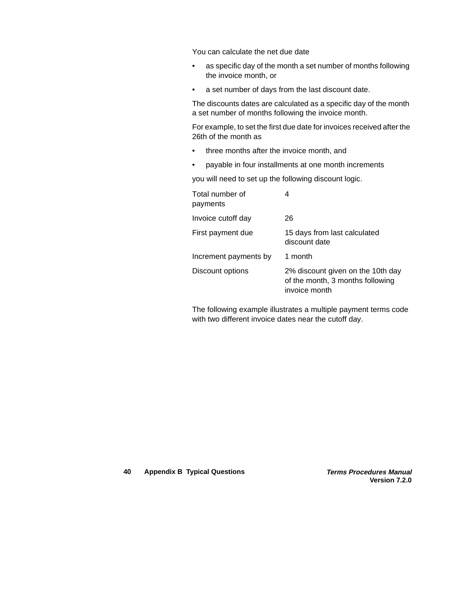You can calculate the net due date

- as specific day of the month a set number of months following the invoice month, or
- a set number of days from the last discount date.

The discounts dates are calculated as a specific day of the month a set number of months following the invoice month.

For example, to set the first due date for invoices received after the 26th of the month as

- three months after the invoice month, and
- payable in four installments at one month increments

you will need to set up the following discount logic.

| Total number of<br>payments |                                                                                        |
|-----------------------------|----------------------------------------------------------------------------------------|
| Invoice cutoff day          | 26                                                                                     |
| First payment due           | 15 days from last calculated<br>discount date                                          |
| Increment payments by       | 1 month                                                                                |
| Discount options            | 2% discount given on the 10th day<br>of the month, 3 months following<br>invoice month |

The following example illustrates a multiple payment terms code with two different invoice dates near the cutoff day.

**40 Appendix B Typical Questions Terms Procedures Manual**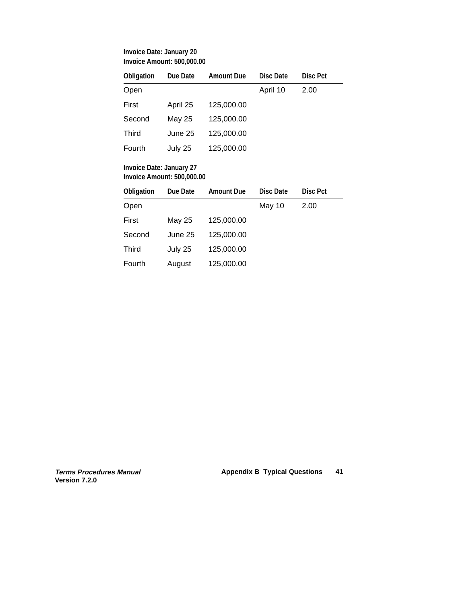**Invoice Date: January 20 Invoice Amount: 500,000.00**

| <b>Obligation</b> | Due Date | <b>Amount Due</b> | Disc Date | <b>Disc Pct</b> |
|-------------------|----------|-------------------|-----------|-----------------|
| Open              |          |                   | April 10  | 2.00            |
| First             | April 25 | 125,000.00        |           |                 |
| Second            | May 25   | 125,000.00        |           |                 |
| Third             | June 25  | 125,000.00        |           |                 |
| Fourth            | July 25  | 125,000.00        |           |                 |

#### **Invoice Date: January 27 Invoice Amount: 500,000.00**

| Obligation | Due Date | <b>Amount Due</b> | Disc Date | <b>Disc Pct</b> |
|------------|----------|-------------------|-----------|-----------------|
| Open       |          |                   | May 10    | 2.00            |
| First      | May 25   | 125,000.00        |           |                 |
| Second     | June 25  | 125,000.00        |           |                 |
| Third      | July 25  | 125,000.00        |           |                 |
| Fourth     | August   | 125,000.00        |           |                 |

**Terms Procedures Manual Version 7.2.0**

**Appendix B Typical Questions 41**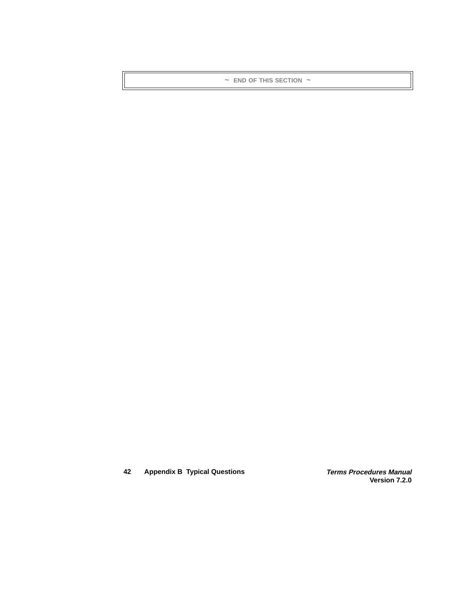**~ END OF THIS SECTION ~**

**42 Appendix B Typical Questions Terms Procedures Manual**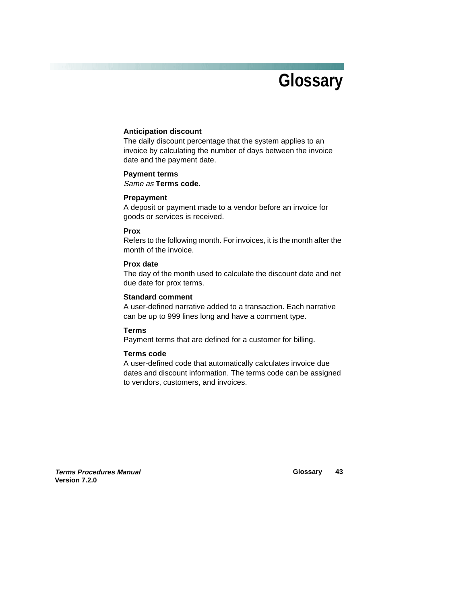# **Glossary**

#### <span id="page-42-0"></span>**Anticipation discount**

The daily discount percentage that the system applies to an invoice by calculating the number of days between the invoice date and the payment date.

#### **Payment terms**

Same as **Terms code**.

#### **Prepayment**

A deposit or payment made to a vendor before an invoice for goods or services is received.

#### **Prox**

Refers to the following month. For invoices, it is the month after the month of the invoice.

#### **Prox date**

The day of the month used to calculate the discount date and net due date for prox terms.

#### **Standard comment**

A user-defined narrative added to a transaction. Each narrative can be up to 999 lines long and have a comment type.

#### **Terms**

Payment terms that are defined for a customer for billing.

#### **Terms code**

A user-defined code that automatically calculates invoice due dates and discount information. The terms code can be assigned to vendors, customers, and invoices.

**Terms Procedures Manual Version 7.2.0**

 **Glossary 43**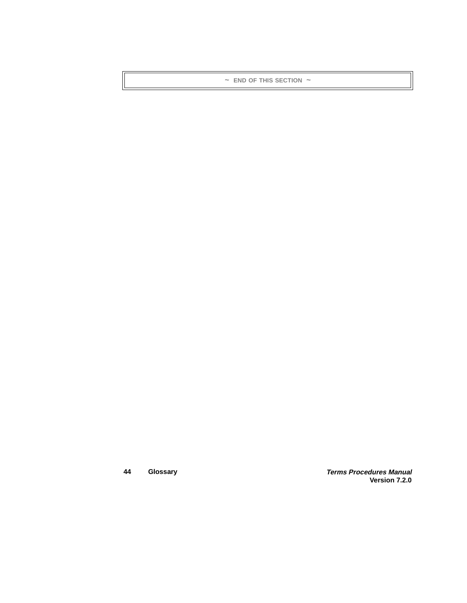**~ END OF THIS SECTION ~**

**44 Glossary Terms Procedures Manual Version 7.2.0**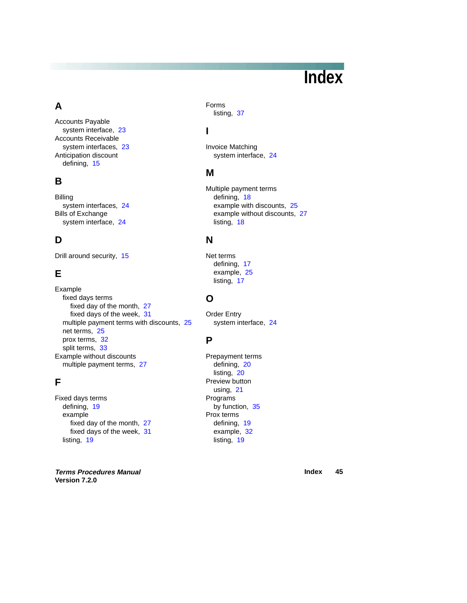# **Index**

# <span id="page-44-0"></span>**A**

Accounts Payable system interface, [23](#page-22-0) Accounts Receivable system interfaces, [23](#page-22-0) Anticipation discount defining, [15](#page-14-0)

### **B**

Billing system interfaces, [24](#page-23-0) Bills of Exchange system interface, [24](#page-23-0)

### **D**

Drill around security, [15](#page-14-0)

### **E**

Example fixed days terms fixed day of the month, [27](#page-26-0) fixed days of the week, [31](#page-30-0) multiple payment terms with discounts, [25](#page-24-0) net terms, [25](#page-24-0) prox terms, [32](#page-31-0) split terms, [33](#page-32-0) Example without discounts multiple payment terms, [27](#page-26-0)

### **F**

Fixed days terms defining, [19](#page-18-0) example fixed day of the month, [27](#page-26-0) fixed days of the week, [31](#page-30-0) listing, [19](#page-18-0)

**Terms Procedures Manual Version 7.2.0**

Forms listing, [37](#page-36-0)

## **I**

Invoice Matching system interface, [24](#page-23-0)

### **M**

Multiple payment terms defining, [18](#page-17-0) example with discounts, [25](#page-24-0) example without discounts, [27](#page-26-0) listing, [18](#page-17-0)

### **N**

Net terms defining, [17](#page-16-0) example, [25](#page-24-0) listing, [17](#page-16-0)

## **O**

Order Entry system interface, [24](#page-23-0)

### **P**

Prepayment terms defining, [20](#page-19-0) listing, [20](#page-19-0) Preview button using, [21](#page-20-0) Programs by function, [35](#page-34-0) Prox terms defining, [19](#page-18-0) example, [32](#page-31-0) listing, [19](#page-18-0)

 **Index 45**